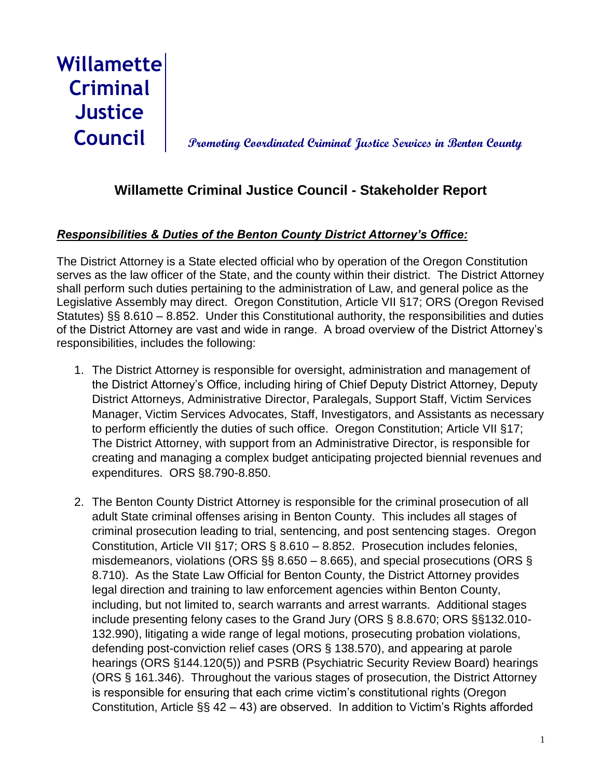**Willamette Criminal Justice**

**Council Promoting Coordinated Criminal Justice Services in Benton County**

# **Willamette Criminal Justice Council - Stakeholder Report**

# *Responsibilities & Duties of the Benton County District Attorney's Office:*

The District Attorney is a State elected official who by operation of the Oregon Constitution serves as the law officer of the State, and the county within their district. The District Attorney shall perform such duties pertaining to the administration of Law, and general police as the Legislative Assembly may direct. Oregon Constitution, Article VII §17; ORS (Oregon Revised Statutes) §§ 8.610 – 8.852. Under this Constitutional authority, the responsibilities and duties of the District Attorney are vast and wide in range. A broad overview of the District Attorney's responsibilities, includes the following:

- 1. The District Attorney is responsible for oversight, administration and management of the District Attorney's Office, including hiring of Chief Deputy District Attorney, Deputy District Attorneys, Administrative Director, Paralegals, Support Staff, Victim Services Manager, Victim Services Advocates, Staff, Investigators, and Assistants as necessary to perform efficiently the duties of such office. Oregon Constitution; Article VII §17; The District Attorney, with support from an Administrative Director, is responsible for creating and managing a complex budget anticipating projected biennial revenues and expenditures. ORS §8.790-8.850.
- 2. The Benton County District Attorney is responsible for the criminal prosecution of all adult State criminal offenses arising in Benton County. This includes all stages of criminal prosecution leading to trial, sentencing, and post sentencing stages. Oregon Constitution, Article VII §17; ORS § 8.610 – 8.852. Prosecution includes felonies, misdemeanors, violations (ORS  $\S$ § 8.650 – 8.665), and special prosecutions (ORS § 8.710). As the State Law Official for Benton County, the District Attorney provides legal direction and training to law enforcement agencies within Benton County, including, but not limited to, search warrants and arrest warrants. Additional stages include presenting felony cases to the Grand Jury (ORS § 8.8.670; ORS §§132.010- 132.990), litigating a wide range of legal motions, prosecuting probation violations, defending post-conviction relief cases (ORS § 138.570), and appearing at parole hearings (ORS §144.120(5)) and PSRB (Psychiatric Security Review Board) hearings (ORS § 161.346). Throughout the various stages of prosecution, the District Attorney is responsible for ensuring that each crime victim's constitutional rights (Oregon Constitution, Article §§ 42 – 43) are observed. In addition to Victim's Rights afforded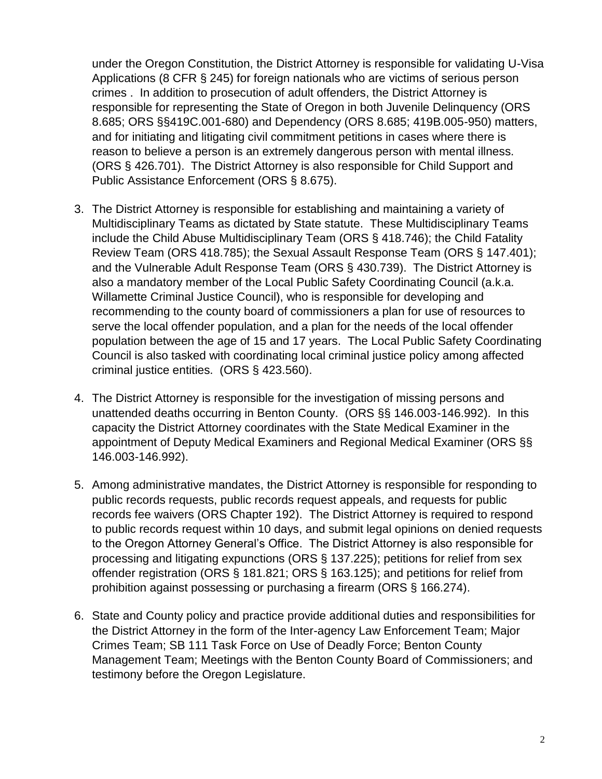under the Oregon Constitution, the District Attorney is responsible for validating U-Visa Applications (8 CFR § 245) for foreign nationals who are victims of serious person crimes . In addition to prosecution of adult offenders, the District Attorney is responsible for representing the State of Oregon in both Juvenile Delinquency (ORS 8.685; ORS §§419C.001-680) and Dependency (ORS 8.685; 419B.005-950) matters, and for initiating and litigating civil commitment petitions in cases where there is reason to believe a person is an extremely dangerous person with mental illness. (ORS § 426.701). The District Attorney is also responsible for Child Support and Public Assistance Enforcement (ORS § 8.675).

- 3. The District Attorney is responsible for establishing and maintaining a variety of Multidisciplinary Teams as dictated by State statute. These Multidisciplinary Teams include the Child Abuse Multidisciplinary Team (ORS § 418.746); the Child Fatality Review Team (ORS 418.785); the Sexual Assault Response Team (ORS § 147.401); and the Vulnerable Adult Response Team (ORS § 430.739). The District Attorney is also a mandatory member of the Local Public Safety Coordinating Council (a.k.a. Willamette Criminal Justice Council), who is responsible for developing and recommending to the county board of commissioners a plan for use of resources to serve the local offender population, and a plan for the needs of the local offender population between the age of 15 and 17 years. The Local Public Safety Coordinating Council is also tasked with coordinating local criminal justice policy among affected criminal justice entities. (ORS § 423.560).
- 4. The District Attorney is responsible for the investigation of missing persons and unattended deaths occurring in Benton County. (ORS §§ 146.003-146.992). In this capacity the District Attorney coordinates with the State Medical Examiner in the appointment of Deputy Medical Examiners and Regional Medical Examiner (ORS §§ 146.003-146.992).
- 5. Among administrative mandates, the District Attorney is responsible for responding to public records requests, public records request appeals, and requests for public records fee waivers (ORS Chapter 192). The District Attorney is required to respond to public records request within 10 days, and submit legal opinions on denied requests to the Oregon Attorney General's Office. The District Attorney is also responsible for processing and litigating expunctions (ORS § 137.225); petitions for relief from sex offender registration (ORS § 181.821; ORS § 163.125); and petitions for relief from prohibition against possessing or purchasing a firearm (ORS § 166.274).
- 6. State and County policy and practice provide additional duties and responsibilities for the District Attorney in the form of the Inter-agency Law Enforcement Team; Major Crimes Team; SB 111 Task Force on Use of Deadly Force; Benton County Management Team; Meetings with the Benton County Board of Commissioners; and testimony before the Oregon Legislature.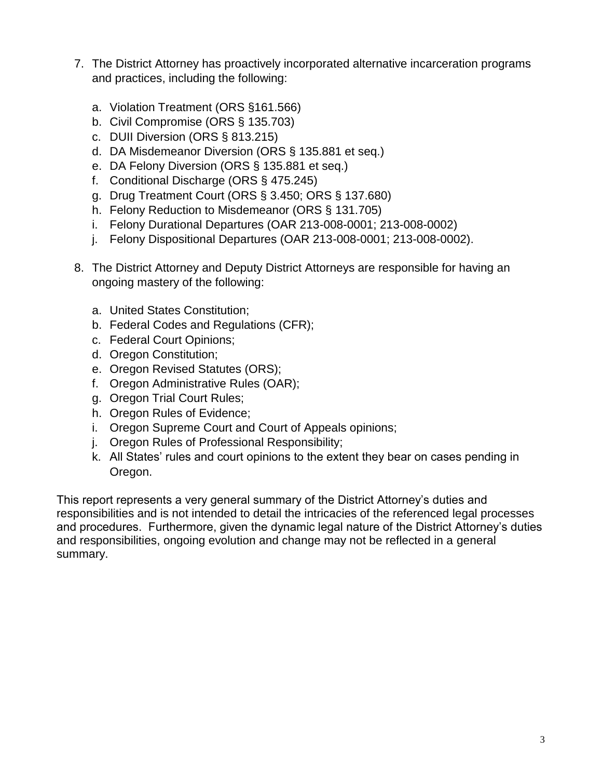- 7. The District Attorney has proactively incorporated alternative incarceration programs and practices, including the following:
	- a. Violation Treatment (ORS §161.566)
	- b. Civil Compromise (ORS § 135.703)
	- c. DUII Diversion (ORS § 813.215)
	- d. DA Misdemeanor Diversion (ORS § 135.881 et seq.)
	- e. DA Felony Diversion (ORS § 135.881 et seq.)
	- f. Conditional Discharge (ORS § 475.245)
	- g. Drug Treatment Court (ORS § 3.450; ORS § 137.680)
	- h. Felony Reduction to Misdemeanor (ORS § 131.705)
	- i. Felony Durational Departures (OAR 213-008-0001; 213-008-0002)
	- j. Felony Dispositional Departures (OAR 213-008-0001; 213-008-0002).
- 8. The District Attorney and Deputy District Attorneys are responsible for having an ongoing mastery of the following:
	- a. United States Constitution;
	- b. Federal Codes and Regulations (CFR);
	- c. Federal Court Opinions;
	- d. Oregon Constitution;
	- e. Oregon Revised Statutes (ORS);
	- f. Oregon Administrative Rules (OAR);
	- g. Oregon Trial Court Rules;
	- h. Oregon Rules of Evidence;
	- i. Oregon Supreme Court and Court of Appeals opinions;
	- j. Oregon Rules of Professional Responsibility;
	- k. All States' rules and court opinions to the extent they bear on cases pending in Oregon.

This report represents a very general summary of the District Attorney's duties and responsibilities and is not intended to detail the intricacies of the referenced legal processes and procedures. Furthermore, given the dynamic legal nature of the District Attorney's duties and responsibilities, ongoing evolution and change may not be reflected in a general summary.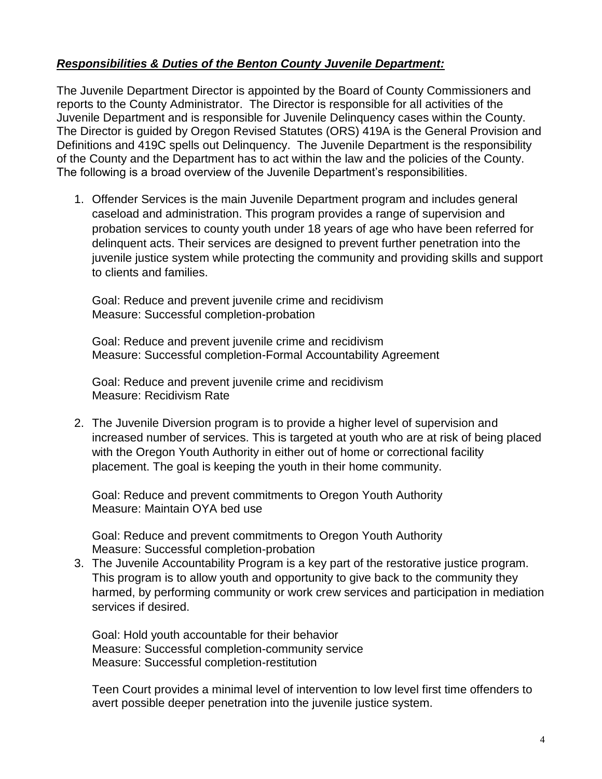#### *Responsibilities & Duties of the Benton County Juvenile Department:*

The Juvenile Department Director is appointed by the Board of County Commissioners and reports to the County Administrator. The Director is responsible for all activities of the Juvenile Department and is responsible for Juvenile Delinquency cases within the County. The Director is guided by Oregon Revised Statutes (ORS) 419A is the General Provision and Definitions and 419C spells out Delinquency. The Juvenile Department is the responsibility of the County and the Department has to act within the law and the policies of the County. The following is a broad overview of the Juvenile Department's responsibilities.

1. Offender Services is the main Juvenile Department program and includes general caseload and administration. This program provides a range of supervision and probation services to county youth under 18 years of age who have been referred for delinquent acts. Their services are designed to prevent further penetration into the juvenile justice system while protecting the community and providing skills and support to clients and families.

Goal: Reduce and prevent juvenile crime and recidivism Measure: Successful completion-probation

Goal: Reduce and prevent juvenile crime and recidivism Measure: Successful completion-Formal Accountability Agreement

Goal: Reduce and prevent juvenile crime and recidivism Measure: Recidivism Rate

2. The Juvenile Diversion program is to provide a higher level of supervision and increased number of services. This is targeted at youth who are at risk of being placed with the Oregon Youth Authority in either out of home or correctional facility placement. The goal is keeping the youth in their home community.

Goal: Reduce and prevent commitments to Oregon Youth Authority Measure: Maintain OYA bed use

Goal: Reduce and prevent commitments to Oregon Youth Authority Measure: Successful completion-probation

3. The Juvenile Accountability Program is a key part of the restorative justice program. This program is to allow youth and opportunity to give back to the community they harmed, by performing community or work crew services and participation in mediation services if desired.

Goal: Hold youth accountable for their behavior Measure: Successful completion-community service Measure: Successful completion-restitution

Teen Court provides a minimal level of intervention to low level first time offenders to avert possible deeper penetration into the juvenile justice system.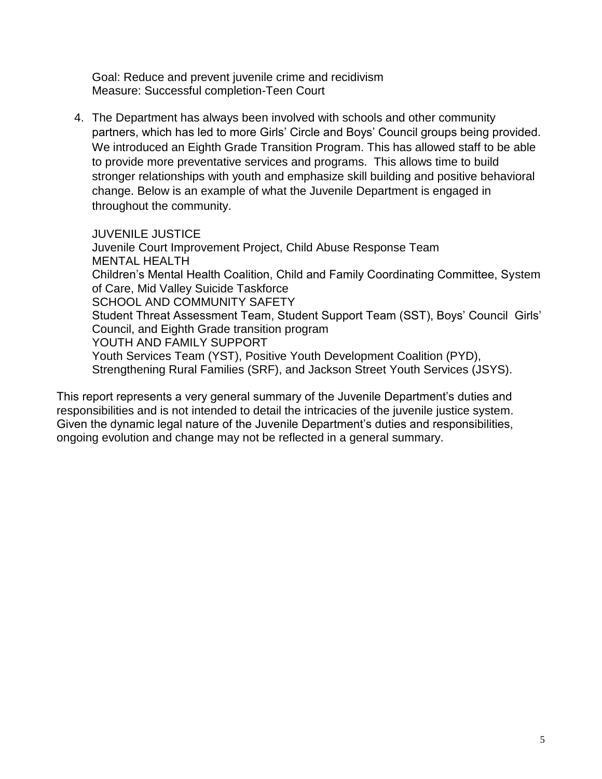Goal: Reduce and prevent juvenile crime and recidivism Measure: Successful completion-Teen Court

4. The Department has always been involved with schools and other community partners, which has led to more Girls' Circle and Boys' Council groups being provided. We introduced an Eighth Grade Transition Program. This has allowed staff to be able to provide more preventative services and programs. This allows time to build stronger relationships with youth and emphasize skill building and positive behavioral change. Below is an example of what the Juvenile Department is engaged in throughout the community.

JUVENILE JUSTICE Juvenile Court Improvement Project, Child Abuse Response Team MENTAL HEALTH Children's Mental Health Coalition, Child and Family Coordinating Committee, System of Care, Mid Valley Suicide Taskforce SCHOOL AND COMMUNITY SAFETY Student Threat Assessment Team, Student Support Team (SST), Boys' Council Girls' Council, and Eighth Grade transition program YOUTH AND FAMILY SUPPORT Youth Services Team (YST), Positive Youth Development Coalition (PYD), Strengthening Rural Families (SRF), and Jackson Street Youth Services (JSYS).

This report represents a very general summary of the Juvenile Department's duties and responsibilities and is not intended to detail the intricacies of the juvenile justice system. Given the dynamic legal nature of the Juvenile Department's duties and responsibilities, ongoing evolution and change may not be reflected in a general summary.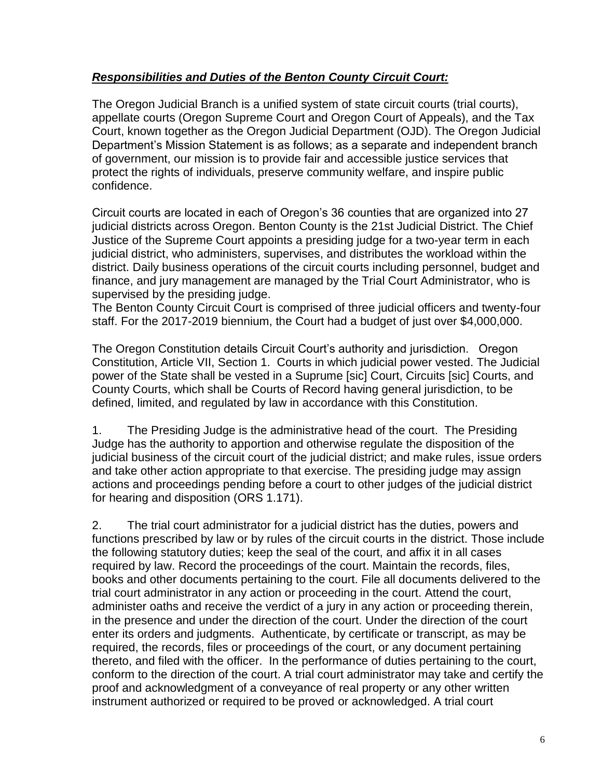# *Responsibilities and Duties of the Benton County Circuit Court:*

The Oregon Judicial Branch is a unified system of state circuit courts (trial courts), appellate courts (Oregon Supreme Court and Oregon Court of Appeals), and the Tax Court, known together as the Oregon Judicial Department (OJD). The Oregon Judicial Department's Mission Statement is as follows; as a separate and independent branch of government, our mission is to provide fair and accessible justice services that protect the rights of individuals, preserve community welfare, and inspire public confidence.

Circuit courts are located in each of Oregon's 36 counties that are organized into 27 judicial districts across Oregon. Benton County is the 21st Judicial District. The Chief Justice of the Supreme Court appoints a presiding judge for a two-year term in each judicial district, who administers, supervises, and distributes the workload within the district. Daily business operations of the circuit courts including personnel, budget and finance, and jury management are managed by the Trial Court Administrator, who is supervised by the presiding judge.

The Benton County Circuit Court is comprised of three judicial officers and twenty-four staff. For the 2017-2019 biennium, the Court had a budget of just over \$4,000,000.

The Oregon Constitution details Circuit Court's authority and jurisdiction. Oregon Constitution, Article VII, Section 1. Courts in which judicial power vested. The Judicial power of the State shall be vested in a Suprume [sic] Court, Circuits [sic] Courts, and County Courts, which shall be Courts of Record having general jurisdiction, to be defined, limited, and regulated by law in accordance with this Constitution.

1. The Presiding Judge is the administrative head of the court. The Presiding Judge has the authority to apportion and otherwise regulate the disposition of the judicial business of the circuit court of the judicial district; and make rules, issue orders and take other action appropriate to that exercise. The presiding judge may assign actions and proceedings pending before a court to other judges of the judicial district for hearing and disposition (ORS 1.171).

2. The trial court administrator for a judicial district has the duties, powers and functions prescribed by law or by rules of the circuit courts in the district. Those include the following statutory duties; keep the seal of the court, and affix it in all cases required by law. Record the proceedings of the court. Maintain the records, files, books and other documents pertaining to the court. File all documents delivered to the trial court administrator in any action or proceeding in the court. Attend the court, administer oaths and receive the verdict of a jury in any action or proceeding therein, in the presence and under the direction of the court. Under the direction of the court enter its orders and judgments. Authenticate, by certificate or transcript, as may be required, the records, files or proceedings of the court, or any document pertaining thereto, and filed with the officer. In the performance of duties pertaining to the court, conform to the direction of the court. A trial court administrator may take and certify the proof and acknowledgment of a conveyance of real property or any other written instrument authorized or required to be proved or acknowledged. A trial court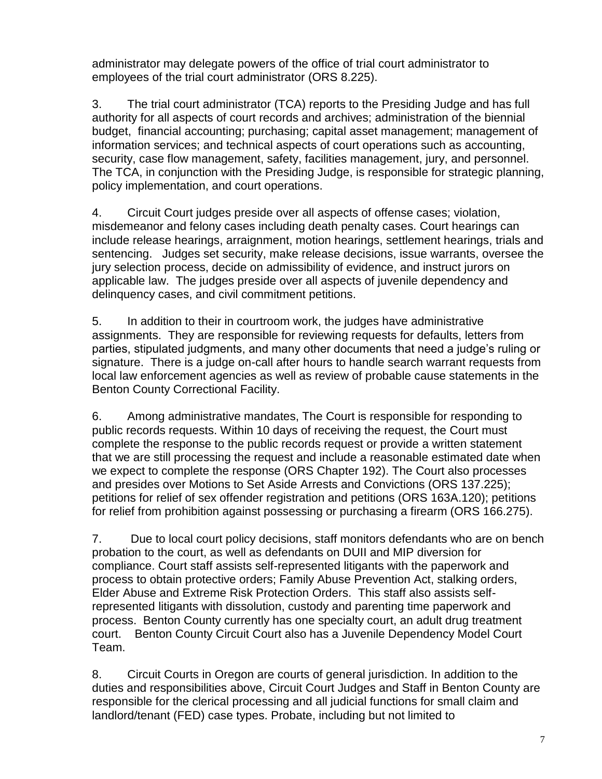administrator may delegate powers of the office of trial court administrator to employees of the trial court administrator (ORS 8.225).

3. The trial court administrator (TCA) reports to the Presiding Judge and has full authority for all aspects of court records and archives; administration of the biennial budget, financial accounting; purchasing; capital asset management; management of information services; and technical aspects of court operations such as accounting, security, case flow management, safety, facilities management, jury, and personnel. The TCA, in conjunction with the Presiding Judge, is responsible for strategic planning, policy implementation, and court operations.

4. Circuit Court judges preside over all aspects of offense cases; violation, misdemeanor and felony cases including death penalty cases. Court hearings can include release hearings, arraignment, motion hearings, settlement hearings, trials and sentencing. Judges set security, make release decisions, issue warrants, oversee the jury selection process, decide on admissibility of evidence, and instruct jurors on applicable law. The judges preside over all aspects of juvenile dependency and delinquency cases, and civil commitment petitions.

5. In addition to their in courtroom work, the judges have administrative assignments. They are responsible for reviewing requests for defaults, letters from parties, stipulated judgments, and many other documents that need a judge's ruling or signature. There is a judge on-call after hours to handle search warrant requests from local law enforcement agencies as well as review of probable cause statements in the Benton County Correctional Facility.

6. Among administrative mandates, The Court is responsible for responding to public records requests. Within 10 days of receiving the request, the Court must complete the response to the public records request or provide a written statement that we are still processing the request and include a reasonable estimated date when we expect to complete the response (ORS Chapter 192). The Court also processes and presides over Motions to Set Aside Arrests and Convictions (ORS 137.225); petitions for relief of sex offender registration and petitions (ORS 163A.120); petitions for relief from prohibition against possessing or purchasing a firearm (ORS 166.275).

7. Due to local court policy decisions, staff monitors defendants who are on bench probation to the court, as well as defendants on DUII and MIP diversion for compliance. Court staff assists self-represented litigants with the paperwork and process to obtain protective orders; Family Abuse Prevention Act, stalking orders, Elder Abuse and Extreme Risk Protection Orders. This staff also assists selfrepresented litigants with dissolution, custody and parenting time paperwork and process. Benton County currently has one specialty court, an adult drug treatment court. Benton County Circuit Court also has a Juvenile Dependency Model Court Team.

8. Circuit Courts in Oregon are courts of general jurisdiction. In addition to the duties and responsibilities above, Circuit Court Judges and Staff in Benton County are responsible for the clerical processing and all judicial functions for small claim and landlord/tenant (FED) case types. Probate, including but not limited to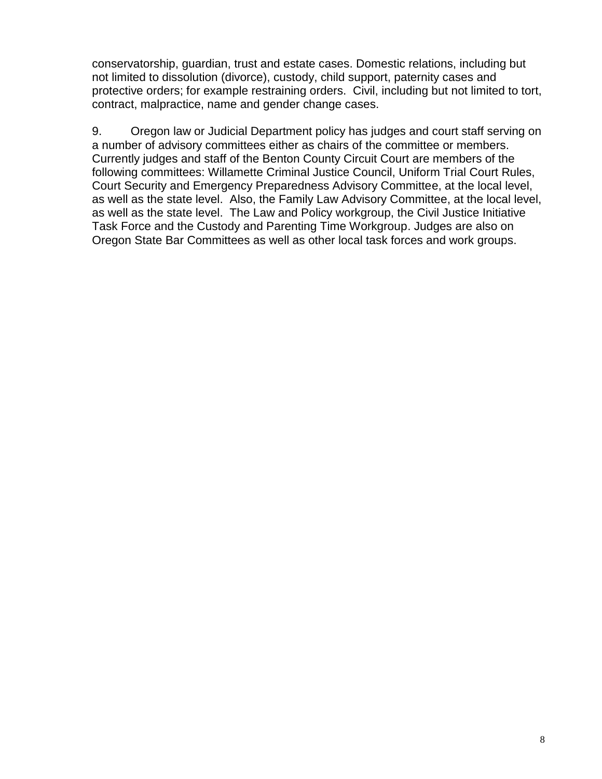conservatorship, guardian, trust and estate cases. Domestic relations, including but not limited to dissolution (divorce), custody, child support, paternity cases and protective orders; for example restraining orders. Civil, including but not limited to tort, contract, malpractice, name and gender change cases.

9. Oregon law or Judicial Department policy has judges and court staff serving on a number of advisory committees either as chairs of the committee or members. Currently judges and staff of the Benton County Circuit Court are members of the following committees: Willamette Criminal Justice Council, Uniform Trial Court Rules, Court Security and Emergency Preparedness Advisory Committee, at the local level, as well as the state level. Also, the Family Law Advisory Committee, at the local level, as well as the state level. The Law and Policy workgroup, the Civil Justice Initiative Task Force and the Custody and Parenting Time Workgroup. Judges are also on Oregon State Bar Committees as well as other local task forces and work groups.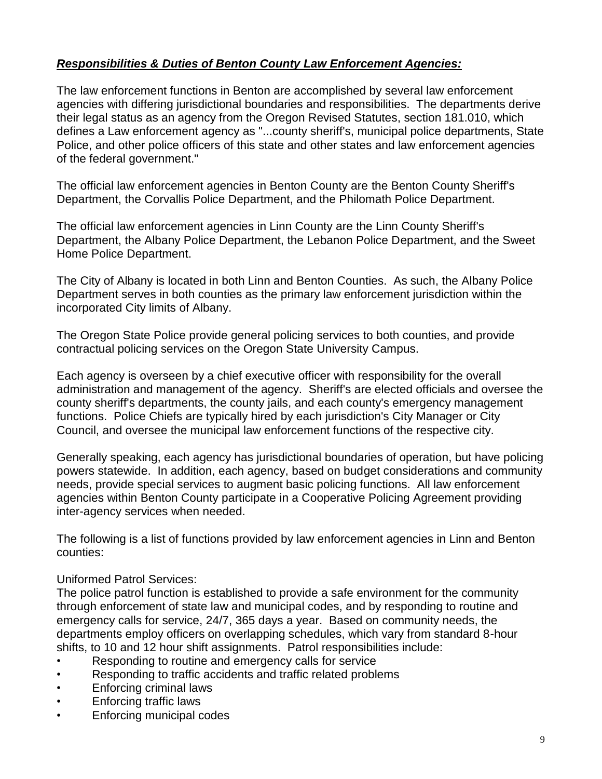# *Responsibilities & Duties of Benton County Law Enforcement Agencies:*

The law enforcement functions in Benton are accomplished by several law enforcement agencies with differing jurisdictional boundaries and responsibilities. The departments derive their legal status as an agency from the Oregon Revised Statutes, section 181.010, which defines a Law enforcement agency as "...county sheriff's, municipal police departments, State Police, and other police officers of this state and other states and law enforcement agencies of the federal government."

The official law enforcement agencies in Benton County are the Benton County Sheriff's Department, the Corvallis Police Department, and the Philomath Police Department.

The official law enforcement agencies in Linn County are the Linn County Sheriff's Department, the Albany Police Department, the Lebanon Police Department, and the Sweet Home Police Department.

The City of Albany is located in both Linn and Benton Counties. As such, the Albany Police Department serves in both counties as the primary law enforcement jurisdiction within the incorporated City limits of Albany.

The Oregon State Police provide general policing services to both counties, and provide contractual policing services on the Oregon State University Campus.

Each agency is overseen by a chief executive officer with responsibility for the overall administration and management of the agency. Sheriff's are elected officials and oversee the county sheriff's departments, the county jails, and each county's emergency management functions. Police Chiefs are typically hired by each jurisdiction's City Manager or City Council, and oversee the municipal law enforcement functions of the respective city.

Generally speaking, each agency has jurisdictional boundaries of operation, but have policing powers statewide. In addition, each agency, based on budget considerations and community needs, provide special services to augment basic policing functions. All law enforcement agencies within Benton County participate in a Cooperative Policing Agreement providing inter-agency services when needed.

The following is a list of functions provided by law enforcement agencies in Linn and Benton counties:

#### Uniformed Patrol Services:

The police patrol function is established to provide a safe environment for the community through enforcement of state law and municipal codes, and by responding to routine and emergency calls for service, 24/7, 365 days a year. Based on community needs, the departments employ officers on overlapping schedules, which vary from standard 8-hour shifts, to 10 and 12 hour shift assignments. Patrol responsibilities include:

- Responding to routine and emergency calls for service
- Responding to traffic accidents and traffic related problems
- Enforcing criminal laws
- Enforcing traffic laws
- Enforcing municipal codes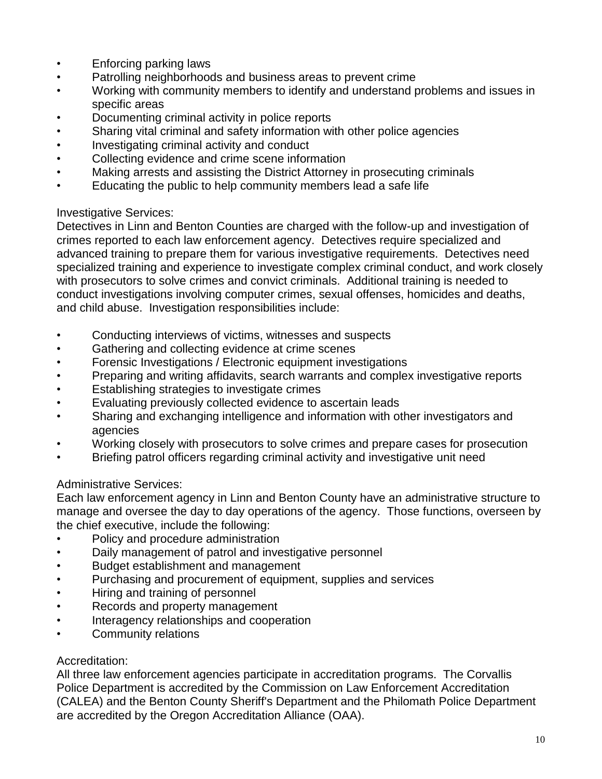- Enforcing parking laws
- Patrolling neighborhoods and business areas to prevent crime
- Working with community members to identify and understand problems and issues in specific areas
- Documenting criminal activity in police reports
- Sharing vital criminal and safety information with other police agencies
- Investigating criminal activity and conduct
- Collecting evidence and crime scene information
- Making arrests and assisting the District Attorney in prosecuting criminals
- Educating the public to help community members lead a safe life

### Investigative Services:

Detectives in Linn and Benton Counties are charged with the follow-up and investigation of crimes reported to each law enforcement agency. Detectives require specialized and advanced training to prepare them for various investigative requirements. Detectives need specialized training and experience to investigate complex criminal conduct, and work closely with prosecutors to solve crimes and convict criminals. Additional training is needed to conduct investigations involving computer crimes, sexual offenses, homicides and deaths, and child abuse. Investigation responsibilities include:

- Conducting interviews of victims, witnesses and suspects
- Gathering and collecting evidence at crime scenes
- Forensic Investigations / Electronic equipment investigations
- Preparing and writing affidavits, search warrants and complex investigative reports
- Establishing strategies to investigate crimes
- Evaluating previously collected evidence to ascertain leads
- Sharing and exchanging intelligence and information with other investigators and agencies
- Working closely with prosecutors to solve crimes and prepare cases for prosecution
- Briefing patrol officers regarding criminal activity and investigative unit need

### Administrative Services:

Each law enforcement agency in Linn and Benton County have an administrative structure to manage and oversee the day to day operations of the agency. Those functions, overseen by the chief executive, include the following:

- Policy and procedure administration
- Daily management of patrol and investigative personnel
- Budget establishment and management
- Purchasing and procurement of equipment, supplies and services
- Hiring and training of personnel
- Records and property management
- Interagency relationships and cooperation
- Community relations

### Accreditation:

All three law enforcement agencies participate in accreditation programs. The Corvallis Police Department is accredited by the Commission on Law Enforcement Accreditation (CALEA) and the Benton County Sheriff's Department and the Philomath Police Department are accredited by the Oregon Accreditation Alliance (OAA).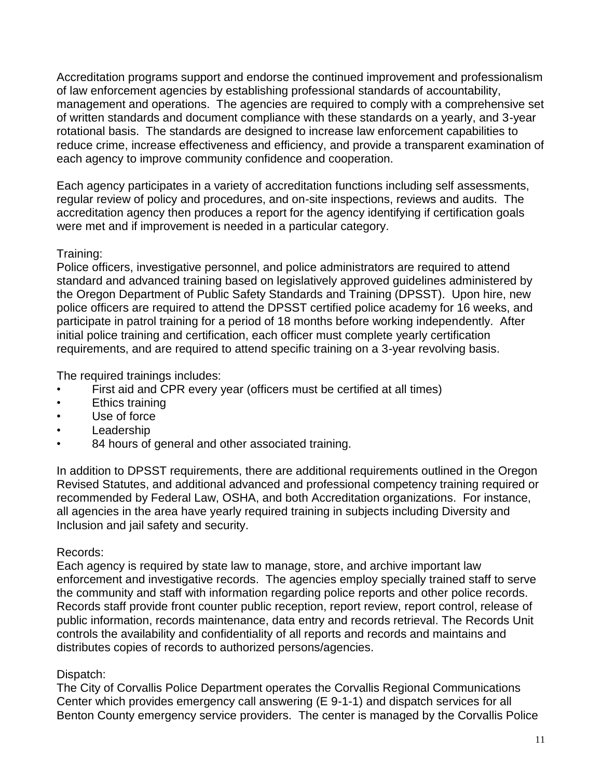Accreditation programs support and endorse the continued improvement and professionalism of law enforcement agencies by establishing professional standards of accountability, management and operations. The agencies are required to comply with a comprehensive set of written standards and document compliance with these standards on a yearly, and 3-year rotational basis. The standards are designed to increase law enforcement capabilities to reduce crime, increase effectiveness and efficiency, and provide a transparent examination of each agency to improve community confidence and cooperation.

Each agency participates in a variety of accreditation functions including self assessments, regular review of policy and procedures, and on-site inspections, reviews and audits. The accreditation agency then produces a report for the agency identifying if certification goals were met and if improvement is needed in a particular category.

# Training:

Police officers, investigative personnel, and police administrators are required to attend standard and advanced training based on legislatively approved guidelines administered by the Oregon Department of Public Safety Standards and Training (DPSST). Upon hire, new police officers are required to attend the DPSST certified police academy for 16 weeks, and participate in patrol training for a period of 18 months before working independently. After initial police training and certification, each officer must complete yearly certification requirements, and are required to attend specific training on a 3-year revolving basis.

The required trainings includes:

- First aid and CPR every year (officers must be certified at all times)
- Ethics training
- Use of force
- Leadership
- 84 hours of general and other associated training.

In addition to DPSST requirements, there are additional requirements outlined in the Oregon Revised Statutes, and additional advanced and professional competency training required or recommended by Federal Law, OSHA, and both Accreditation organizations. For instance, all agencies in the area have yearly required training in subjects including Diversity and Inclusion and jail safety and security.

### Records:

Each agency is required by state law to manage, store, and archive important law enforcement and investigative records. The agencies employ specially trained staff to serve the community and staff with information regarding police reports and other police records. Records staff provide front counter public reception, report review, report control, release of public information, records maintenance, data entry and records retrieval. The Records Unit controls the availability and confidentiality of all reports and records and maintains and distributes copies of records to authorized persons/agencies.

# Dispatch:

The City of Corvallis Police Department operates the Corvallis Regional Communications Center which provides emergency call answering (E 9-1-1) and dispatch services for all Benton County emergency service providers. The center is managed by the Corvallis Police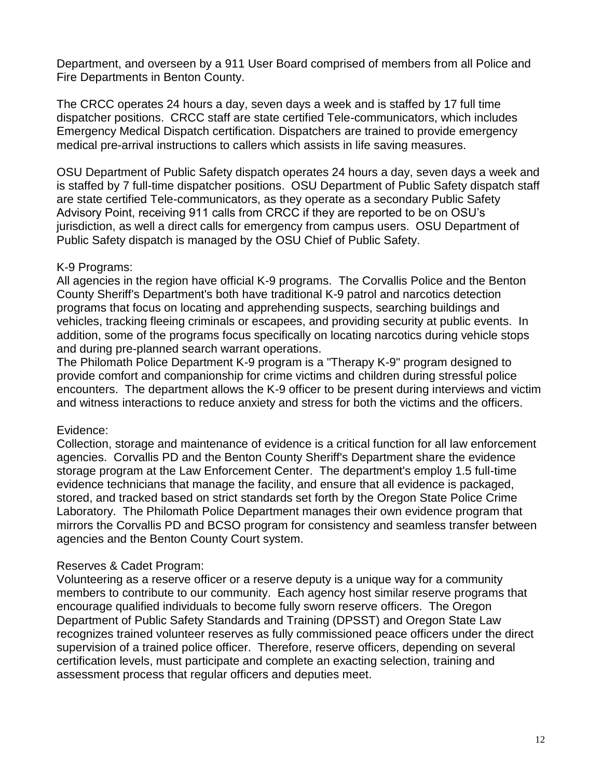Department, and overseen by a 911 User Board comprised of members from all Police and Fire Departments in Benton County.

The CRCC operates 24 hours a day, seven days a week and is staffed by 17 full time dispatcher positions. CRCC staff are state certified Tele-communicators, which includes Emergency Medical Dispatch certification. Dispatchers are trained to provide emergency medical pre-arrival instructions to callers which assists in life saving measures.

OSU Department of Public Safety dispatch operates 24 hours a day, seven days a week and is staffed by 7 full-time dispatcher positions. OSU Department of Public Safety dispatch staff are state certified Tele-communicators, as they operate as a secondary Public Safety Advisory Point, receiving 911 calls from CRCC if they are reported to be on OSU's jurisdiction, as well a direct calls for emergency from campus users. OSU Department of Public Safety dispatch is managed by the OSU Chief of Public Safety.

#### K-9 Programs:

All agencies in the region have official K-9 programs. The Corvallis Police and the Benton County Sheriff's Department's both have traditional K-9 patrol and narcotics detection programs that focus on locating and apprehending suspects, searching buildings and vehicles, tracking fleeing criminals or escapees, and providing security at public events. In addition, some of the programs focus specifically on locating narcotics during vehicle stops and during pre-planned search warrant operations.

The Philomath Police Department K-9 program is a "Therapy K-9" program designed to provide comfort and companionship for crime victims and children during stressful police encounters. The department allows the K-9 officer to be present during interviews and victim and witness interactions to reduce anxiety and stress for both the victims and the officers.

### Evidence:

Collection, storage and maintenance of evidence is a critical function for all law enforcement agencies. Corvallis PD and the Benton County Sheriff's Department share the evidence storage program at the Law Enforcement Center. The department's employ 1.5 full-time evidence technicians that manage the facility, and ensure that all evidence is packaged, stored, and tracked based on strict standards set forth by the Oregon State Police Crime Laboratory. The Philomath Police Department manages their own evidence program that mirrors the Corvallis PD and BCSO program for consistency and seamless transfer between agencies and the Benton County Court system.

### Reserves & Cadet Program:

Volunteering as a reserve officer or a reserve deputy is a unique way for a community members to contribute to our community. Each agency host similar reserve programs that encourage qualified individuals to become fully sworn reserve officers. The Oregon Department of Public Safety Standards and Training (DPSST) and Oregon State Law recognizes trained volunteer reserves as fully commissioned peace officers under the direct supervision of a trained police officer. Therefore, reserve officers, depending on several certification levels, must participate and complete an exacting selection, training and assessment process that regular officers and deputies meet.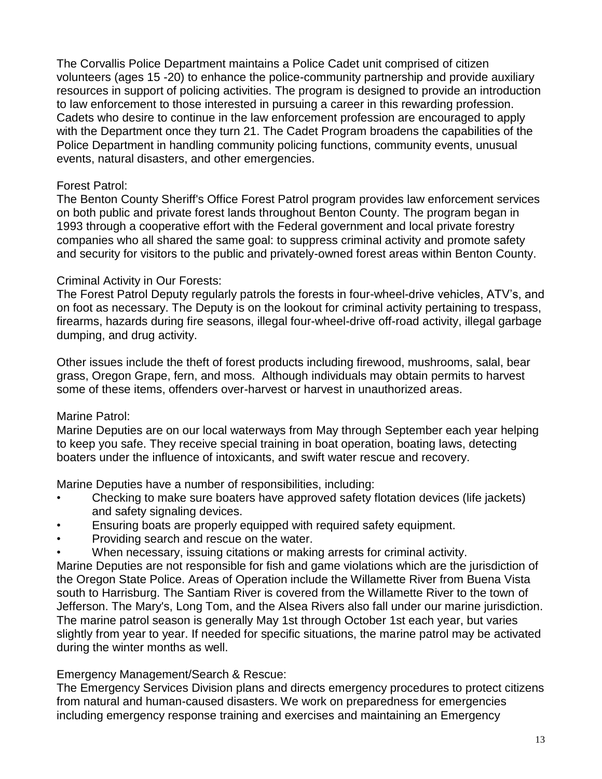The Corvallis Police Department maintains a Police Cadet unit comprised of citizen volunteers (ages 15 -20) to enhance the police-community partnership and provide auxiliary resources in support of policing activities. The program is designed to provide an introduction to law enforcement to those interested in pursuing a career in this rewarding profession. Cadets who desire to continue in the law enforcement profession are encouraged to apply with the Department once they turn 21. The Cadet Program broadens the capabilities of the Police Department in handling community policing functions, community events, unusual events, natural disasters, and other emergencies.

#### Forest Patrol:

The Benton County Sheriff's Office Forest Patrol program provides law enforcement services on both public and private forest lands throughout Benton County. The program began in 1993 through a cooperative effort with the Federal government and local private forestry companies who all shared the same goal: to suppress criminal activity and promote safety and security for visitors to the public and privately-owned forest areas within Benton County.

#### Criminal Activity in Our Forests:

The Forest Patrol Deputy regularly patrols the forests in four-wheel-drive vehicles, ATV's, and on foot as necessary. The Deputy is on the lookout for criminal activity pertaining to trespass, firearms, hazards during fire seasons, illegal four-wheel-drive off-road activity, illegal garbage dumping, and drug activity.

Other issues include the theft of forest products including firewood, mushrooms, salal, bear grass, Oregon Grape, fern, and moss. Although individuals may obtain permits to harvest some of these items, offenders over-harvest or harvest in unauthorized areas.

### Marine Patrol:

Marine Deputies are on our local waterways from May through September each year helping to keep you safe. They receive special training in boat operation, boating laws, detecting boaters under the influence of intoxicants, and swift water rescue and recovery.

Marine Deputies have a number of responsibilities, including:

- Checking to make sure boaters have approved safety flotation devices (life jackets) and safety signaling devices.
- Ensuring boats are properly equipped with required safety equipment.
- Providing search and rescue on the water.
- When necessary, issuing citations or making arrests for criminal activity.

Marine Deputies are not responsible for fish and game violations which are the jurisdiction of the Oregon State Police. Areas of Operation include the Willamette River from Buena Vista south to Harrisburg. The Santiam River is covered from the Willamette River to the town of Jefferson. The Mary's, Long Tom, and the Alsea Rivers also fall under our marine jurisdiction. The marine patrol season is generally May 1st through October 1st each year, but varies slightly from year to year. If needed for specific situations, the marine patrol may be activated during the winter months as well.

### Emergency Management/Search & Rescue:

The Emergency Services Division plans and directs emergency procedures to protect citizens from natural and human-caused disasters. We work on preparedness for emergencies including emergency response training and exercises and maintaining an Emergency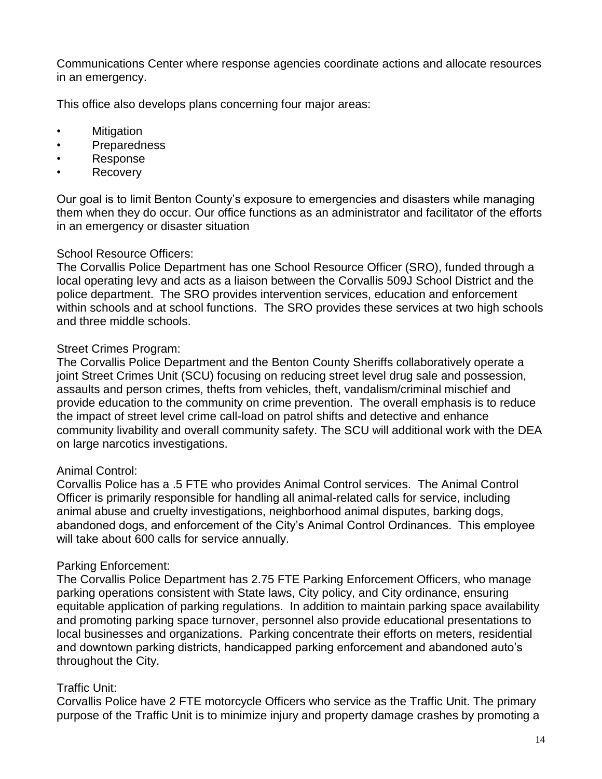Communications Center where response agencies coordinate actions and allocate resources in an emergency.

This office also develops plans concerning four major areas:

- Mitigation
- Preparedness
- Response
- **Recovery**

Our goal is to limit Benton County's exposure to emergencies and disasters while managing them when they do occur. Our office functions as an administrator and facilitator of the efforts in an emergency or disaster situation

#### School Resource Officers:

The Corvallis Police Department has one School Resource Officer (SRO), funded through a local operating levy and acts as a liaison between the Corvallis 509J School District and the police department. The SRO provides intervention services, education and enforcement within schools and at school functions. The SRO provides these services at two high schools and three middle schools.

#### Street Crimes Program:

The Corvallis Police Department and the Benton County Sheriffs collaboratively operate a joint Street Crimes Unit (SCU) focusing on reducing street level drug sale and possession, assaults and person crimes, thefts from vehicles, theft, vandalism/criminal mischief and provide education to the community on crime prevention. The overall emphasis is to reduce the impact of street level crime call-load on patrol shifts and detective and enhance community livability and overall community safety. The SCU will additional work with the DEA on large narcotics investigations.

#### Animal Control:

Corvallis Police has a .5 FTE who provides Animal Control services. The Animal Control Officer is primarily responsible for handling all animal-related calls for service, including animal abuse and cruelty investigations, neighborhood animal disputes, barking dogs, abandoned dogs, and enforcement of the City's Animal Control Ordinances. This employee will take about 600 calls for service annually.

#### Parking Enforcement:

The Corvallis Police Department has 2.75 FTE Parking Enforcement Officers, who manage parking operations consistent with State laws, City policy, and City ordinance, ensuring equitable application of parking regulations. In addition to maintain parking space availability and promoting parking space turnover, personnel also provide educational presentations to local businesses and organizations. Parking concentrate their efforts on meters, residential and downtown parking districts, handicapped parking enforcement and abandoned auto's throughout the City.

### Traffic Unit:

Corvallis Police have 2 FTE motorcycle Officers who service as the Traffic Unit. The primary purpose of the Traffic Unit is to minimize injury and property damage crashes by promoting a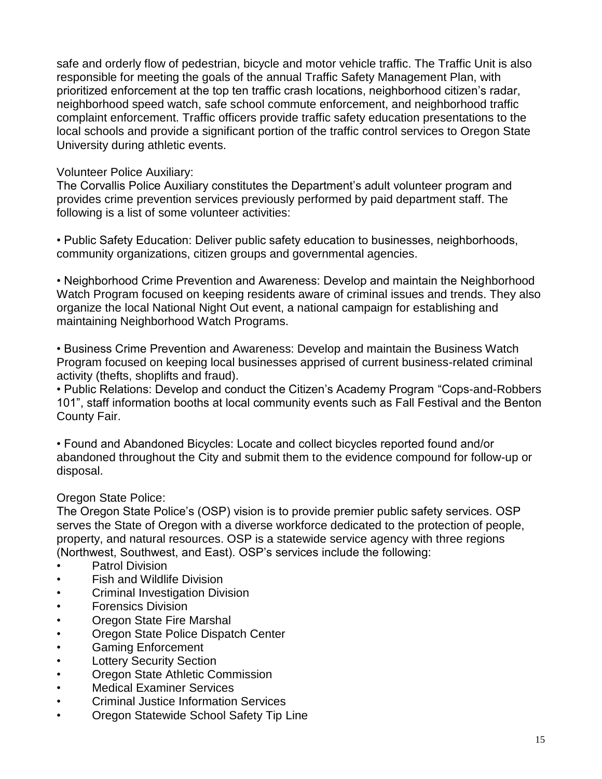safe and orderly flow of pedestrian, bicycle and motor vehicle traffic. The Traffic Unit is also responsible for meeting the goals of the annual Traffic Safety Management Plan, with prioritized enforcement at the top ten traffic crash locations, neighborhood citizen's radar, neighborhood speed watch, safe school commute enforcement, and neighborhood traffic complaint enforcement. Traffic officers provide traffic safety education presentations to the local schools and provide a significant portion of the traffic control services to Oregon State University during athletic events.

#### Volunteer Police Auxiliary:

The Corvallis Police Auxiliary constitutes the Department's adult volunteer program and provides crime prevention services previously performed by paid department staff. The following is a list of some volunteer activities:

• Public Safety Education: Deliver public safety education to businesses, neighborhoods, community organizations, citizen groups and governmental agencies.

• Neighborhood Crime Prevention and Awareness: Develop and maintain the Neighborhood Watch Program focused on keeping residents aware of criminal issues and trends. They also organize the local National Night Out event, a national campaign for establishing and maintaining Neighborhood Watch Programs.

• Business Crime Prevention and Awareness: Develop and maintain the Business Watch Program focused on keeping local businesses apprised of current business-related criminal activity (thefts, shoplifts and fraud).

• Public Relations: Develop and conduct the Citizen's Academy Program "Cops-and-Robbers 101", staff information booths at local community events such as Fall Festival and the Benton County Fair.

• Found and Abandoned Bicycles: Locate and collect bicycles reported found and/or abandoned throughout the City and submit them to the evidence compound for follow-up or disposal.

### Oregon State Police:

The Oregon State Police's (OSP) vision is to provide premier public safety services. OSP serves the State of Oregon with a diverse workforce dedicated to the protection of people, property, and natural resources. OSP is a statewide service agency with three regions (Northwest, Southwest, and East). OSP's services include the following:

- Patrol Division
- Fish and Wildlife Division
- Criminal Investigation Division
- Forensics Division
- Oregon State Fire Marshal
- Oregon State Police Dispatch Center
- Gaming Enforcement
- Lottery Security Section
- Oregon State Athletic Commission
- Medical Examiner Services
- Criminal Justice Information Services
- Oregon Statewide School Safety Tip Line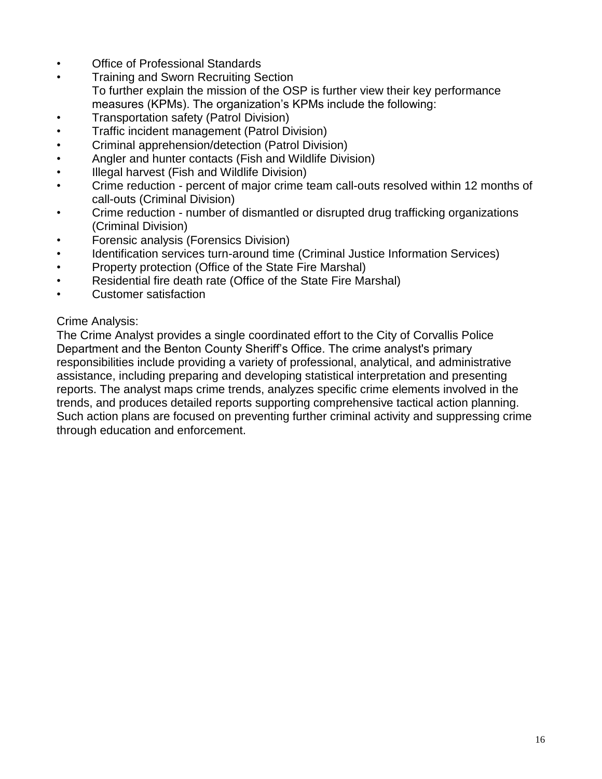- Office of Professional Standards
- Training and Sworn Recruiting Section To further explain the mission of the OSP is further view their key performance measures (KPMs). The organization's KPMs include the following:
- Transportation safety (Patrol Division)
- Traffic incident management (Patrol Division)
- Criminal apprehension/detection (Patrol Division)
- Angler and hunter contacts (Fish and Wildlife Division)
- Illegal harvest (Fish and Wildlife Division)
- Crime reduction percent of major crime team call-outs resolved within 12 months of call-outs (Criminal Division)
- Crime reduction number of dismantled or disrupted drug trafficking organizations (Criminal Division)
- Forensic analysis (Forensics Division)
- Identification services turn-around time (Criminal Justice Information Services)
- Property protection (Office of the State Fire Marshal)
- Residential fire death rate (Office of the State Fire Marshal)
- Customer satisfaction

#### Crime Analysis:

The Crime Analyst provides a single coordinated effort to the City of Corvallis Police Department and the Benton County Sheriff's Office. The crime analyst's primary responsibilities include providing a variety of professional, analytical, and administrative assistance, including preparing and developing statistical interpretation and presenting reports. The analyst maps crime trends, analyzes specific crime elements involved in the trends, and produces detailed reports supporting comprehensive tactical action planning. Such action plans are focused on preventing further criminal activity and suppressing crime through education and enforcement.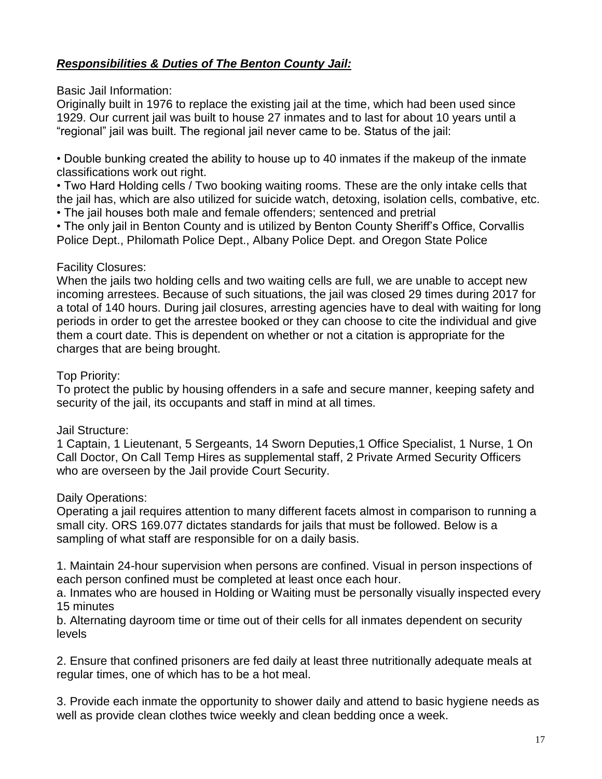# *Responsibilities & Duties of The Benton County Jail:*

Basic Jail Information:

Originally built in 1976 to replace the existing jail at the time, which had been used since 1929. Our current jail was built to house 27 inmates and to last for about 10 years until a "regional" jail was built. The regional jail never came to be. Status of the jail:

• Double bunking created the ability to house up to 40 inmates if the makeup of the inmate classifications work out right.

• Two Hard Holding cells / Two booking waiting rooms. These are the only intake cells that the jail has, which are also utilized for suicide watch, detoxing, isolation cells, combative, etc.

• The jail houses both male and female offenders; sentenced and pretrial

• The only jail in Benton County and is utilized by Benton County Sheriff's Office, Corvallis Police Dept., Philomath Police Dept., Albany Police Dept. and Oregon State Police

#### Facility Closures:

When the jails two holding cells and two waiting cells are full, we are unable to accept new incoming arrestees. Because of such situations, the jail was closed 29 times during 2017 for a total of 140 hours. During jail closures, arresting agencies have to deal with waiting for long periods in order to get the arrestee booked or they can choose to cite the individual and give them a court date. This is dependent on whether or not a citation is appropriate for the charges that are being brought.

### Top Priority:

To protect the public by housing offenders in a safe and secure manner, keeping safety and security of the jail, its occupants and staff in mind at all times.

### Jail Structure:

1 Captain, 1 Lieutenant, 5 Sergeants, 14 Sworn Deputies,1 Office Specialist, 1 Nurse, 1 On Call Doctor, On Call Temp Hires as supplemental staff, 2 Private Armed Security Officers who are overseen by the Jail provide Court Security.

### Daily Operations:

Operating a jail requires attention to many different facets almost in comparison to running a small city. ORS 169.077 dictates standards for jails that must be followed. Below is a sampling of what staff are responsible for on a daily basis.

1. Maintain 24-hour supervision when persons are confined. Visual in person inspections of each person confined must be completed at least once each hour.

a. Inmates who are housed in Holding or Waiting must be personally visually inspected every 15 minutes

b. Alternating dayroom time or time out of their cells for all inmates dependent on security levels

2. Ensure that confined prisoners are fed daily at least three nutritionally adequate meals at regular times, one of which has to be a hot meal.

3. Provide each inmate the opportunity to shower daily and attend to basic hygiene needs as well as provide clean clothes twice weekly and clean bedding once a week.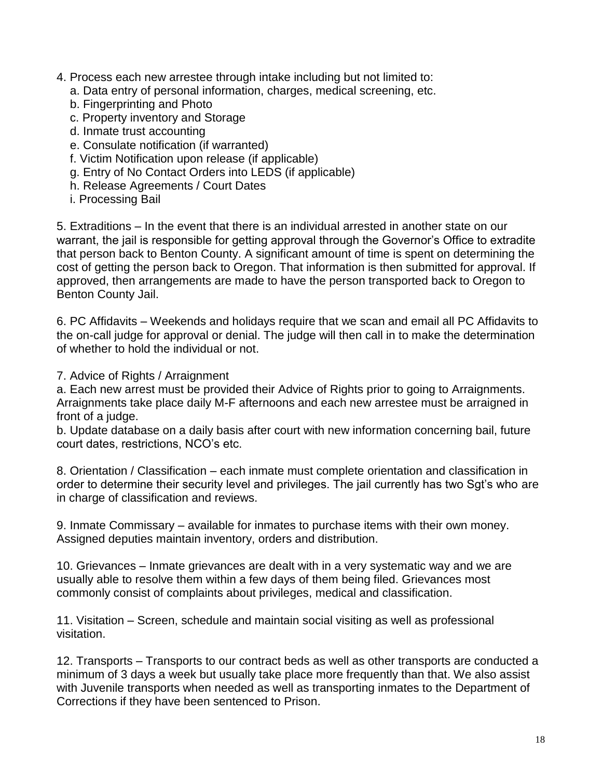- 4. Process each new arrestee through intake including but not limited to:
	- a. Data entry of personal information, charges, medical screening, etc.
	- b. Fingerprinting and Photo
	- c. Property inventory and Storage
	- d. Inmate trust accounting
	- e. Consulate notification (if warranted)
	- f. Victim Notification upon release (if applicable)
	- g. Entry of No Contact Orders into LEDS (if applicable)
	- h. Release Agreements / Court Dates
	- i. Processing Bail

5. Extraditions – In the event that there is an individual arrested in another state on our warrant, the jail is responsible for getting approval through the Governor's Office to extradite that person back to Benton County. A significant amount of time is spent on determining the cost of getting the person back to Oregon. That information is then submitted for approval. If approved, then arrangements are made to have the person transported back to Oregon to Benton County Jail.

6. PC Affidavits – Weekends and holidays require that we scan and email all PC Affidavits to the on-call judge for approval or denial. The judge will then call in to make the determination of whether to hold the individual or not.

7. Advice of Rights / Arraignment

a. Each new arrest must be provided their Advice of Rights prior to going to Arraignments. Arraignments take place daily M-F afternoons and each new arrestee must be arraigned in front of a judge.

b. Update database on a daily basis after court with new information concerning bail, future court dates, restrictions, NCO's etc.

8. Orientation / Classification – each inmate must complete orientation and classification in order to determine their security level and privileges. The jail currently has two Sgt's who are in charge of classification and reviews.

9. Inmate Commissary – available for inmates to purchase items with their own money. Assigned deputies maintain inventory, orders and distribution.

10. Grievances – Inmate grievances are dealt with in a very systematic way and we are usually able to resolve them within a few days of them being filed. Grievances most commonly consist of complaints about privileges, medical and classification.

11. Visitation – Screen, schedule and maintain social visiting as well as professional visitation.

12. Transports – Transports to our contract beds as well as other transports are conducted a minimum of 3 days a week but usually take place more frequently than that. We also assist with Juvenile transports when needed as well as transporting inmates to the Department of Corrections if they have been sentenced to Prison.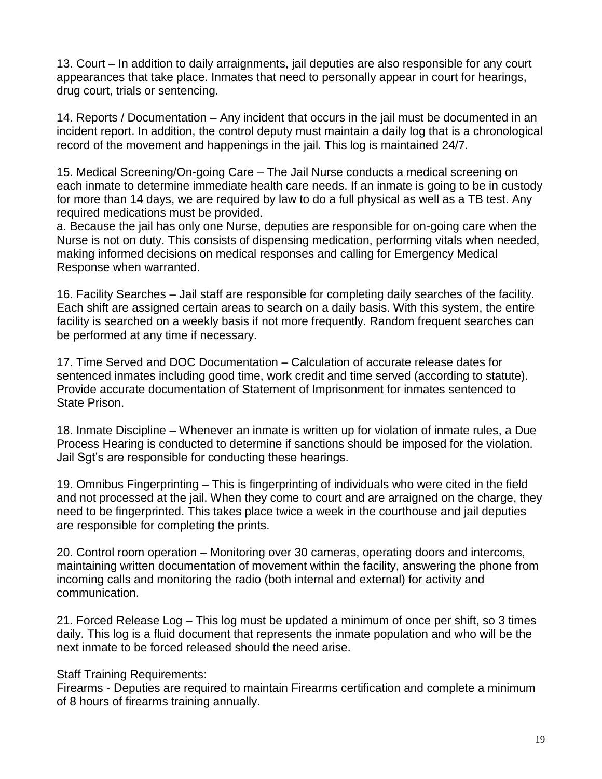13. Court – In addition to daily arraignments, jail deputies are also responsible for any court appearances that take place. Inmates that need to personally appear in court for hearings, drug court, trials or sentencing.

14. Reports / Documentation – Any incident that occurs in the jail must be documented in an incident report. In addition, the control deputy must maintain a daily log that is a chronological record of the movement and happenings in the jail. This log is maintained 24/7.

15. Medical Screening/On-going Care – The Jail Nurse conducts a medical screening on each inmate to determine immediate health care needs. If an inmate is going to be in custody for more than 14 days, we are required by law to do a full physical as well as a TB test. Any required medications must be provided.

a. Because the jail has only one Nurse, deputies are responsible for on-going care when the Nurse is not on duty. This consists of dispensing medication, performing vitals when needed, making informed decisions on medical responses and calling for Emergency Medical Response when warranted.

16. Facility Searches – Jail staff are responsible for completing daily searches of the facility. Each shift are assigned certain areas to search on a daily basis. With this system, the entire facility is searched on a weekly basis if not more frequently. Random frequent searches can be performed at any time if necessary.

17. Time Served and DOC Documentation – Calculation of accurate release dates for sentenced inmates including good time, work credit and time served (according to statute). Provide accurate documentation of Statement of Imprisonment for inmates sentenced to State Prison.

18. Inmate Discipline – Whenever an inmate is written up for violation of inmate rules, a Due Process Hearing is conducted to determine if sanctions should be imposed for the violation. Jail Sgt's are responsible for conducting these hearings.

19. Omnibus Fingerprinting – This is fingerprinting of individuals who were cited in the field and not processed at the jail. When they come to court and are arraigned on the charge, they need to be fingerprinted. This takes place twice a week in the courthouse and jail deputies are responsible for completing the prints.

20. Control room operation – Monitoring over 30 cameras, operating doors and intercoms, maintaining written documentation of movement within the facility, answering the phone from incoming calls and monitoring the radio (both internal and external) for activity and communication.

21. Forced Release Log – This log must be updated a minimum of once per shift, so 3 times daily. This log is a fluid document that represents the inmate population and who will be the next inmate to be forced released should the need arise.

#### Staff Training Requirements:

Firearms - Deputies are required to maintain Firearms certification and complete a minimum of 8 hours of firearms training annually.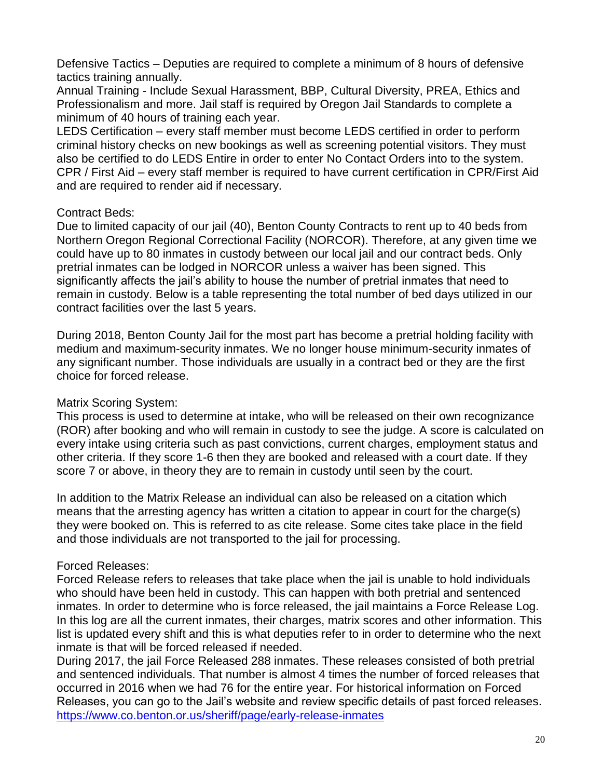Defensive Tactics – Deputies are required to complete a minimum of 8 hours of defensive tactics training annually.

Annual Training - Include Sexual Harassment, BBP, Cultural Diversity, PREA, Ethics and Professionalism and more. Jail staff is required by Oregon Jail Standards to complete a minimum of 40 hours of training each year.

LEDS Certification – every staff member must become LEDS certified in order to perform criminal history checks on new bookings as well as screening potential visitors. They must also be certified to do LEDS Entire in order to enter No Contact Orders into to the system. CPR / First Aid – every staff member is required to have current certification in CPR/First Aid and are required to render aid if necessary.

#### Contract Beds:

Due to limited capacity of our jail (40), Benton County Contracts to rent up to 40 beds from Northern Oregon Regional Correctional Facility (NORCOR). Therefore, at any given time we could have up to 80 inmates in custody between our local jail and our contract beds. Only pretrial inmates can be lodged in NORCOR unless a waiver has been signed. This significantly affects the jail's ability to house the number of pretrial inmates that need to remain in custody. Below is a table representing the total number of bed days utilized in our contract facilities over the last 5 years.

During 2018, Benton County Jail for the most part has become a pretrial holding facility with medium and maximum-security inmates. We no longer house minimum-security inmates of any significant number. Those individuals are usually in a contract bed or they are the first choice for forced release.

### Matrix Scoring System:

This process is used to determine at intake, who will be released on their own recognizance (ROR) after booking and who will remain in custody to see the judge. A score is calculated on every intake using criteria such as past convictions, current charges, employment status and other criteria. If they score 1-6 then they are booked and released with a court date. If they score 7 or above, in theory they are to remain in custody until seen by the court.

In addition to the Matrix Release an individual can also be released on a citation which means that the arresting agency has written a citation to appear in court for the charge(s) they were booked on. This is referred to as cite release. Some cites take place in the field and those individuals are not transported to the jail for processing.

### Forced Releases:

Forced Release refers to releases that take place when the jail is unable to hold individuals who should have been held in custody. This can happen with both pretrial and sentenced inmates. In order to determine who is force released, the jail maintains a Force Release Log. In this log are all the current inmates, their charges, matrix scores and other information. This list is updated every shift and this is what deputies refer to in order to determine who the next inmate is that will be forced released if needed.

During 2017, the jail Force Released 288 inmates. These releases consisted of both pretrial and sentenced individuals. That number is almost 4 times the number of forced releases that occurred in 2016 when we had 76 for the entire year. For historical information on Forced Releases, you can go to the Jail's website and review specific details of past forced releases. <https://www.co.benton.or.us/sheriff/page/early-release-inmates>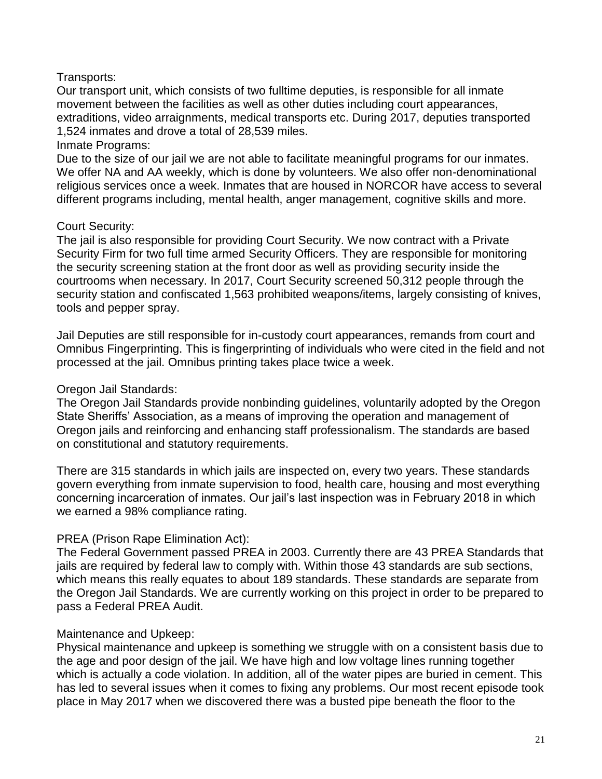### Transports:

Our transport unit, which consists of two fulltime deputies, is responsible for all inmate movement between the facilities as well as other duties including court appearances, extraditions, video arraignments, medical transports etc. During 2017, deputies transported 1,524 inmates and drove a total of 28,539 miles.

#### Inmate Programs:

Due to the size of our jail we are not able to facilitate meaningful programs for our inmates. We offer NA and AA weekly, which is done by volunteers. We also offer non-denominational religious services once a week. Inmates that are housed in NORCOR have access to several different programs including, mental health, anger management, cognitive skills and more.

### Court Security:

The jail is also responsible for providing Court Security. We now contract with a Private Security Firm for two full time armed Security Officers. They are responsible for monitoring the security screening station at the front door as well as providing security inside the courtrooms when necessary. In 2017, Court Security screened 50,312 people through the security station and confiscated 1,563 prohibited weapons/items, largely consisting of knives, tools and pepper spray.

Jail Deputies are still responsible for in-custody court appearances, remands from court and Omnibus Fingerprinting. This is fingerprinting of individuals who were cited in the field and not processed at the jail. Omnibus printing takes place twice a week.

#### Oregon Jail Standards:

The Oregon Jail Standards provide nonbinding guidelines, voluntarily adopted by the Oregon State Sheriffs' Association, as a means of improving the operation and management of Oregon jails and reinforcing and enhancing staff professionalism. The standards are based on constitutional and statutory requirements.

There are 315 standards in which jails are inspected on, every two years. These standards govern everything from inmate supervision to food, health care, housing and most everything concerning incarceration of inmates. Our jail's last inspection was in February 2018 in which we earned a 98% compliance rating.

### PREA (Prison Rape Elimination Act):

The Federal Government passed PREA in 2003. Currently there are 43 PREA Standards that jails are required by federal law to comply with. Within those 43 standards are sub sections, which means this really equates to about 189 standards. These standards are separate from the Oregon Jail Standards. We are currently working on this project in order to be prepared to pass a Federal PREA Audit.

### Maintenance and Upkeep:

Physical maintenance and upkeep is something we struggle with on a consistent basis due to the age and poor design of the jail. We have high and low voltage lines running together which is actually a code violation. In addition, all of the water pipes are buried in cement. This has led to several issues when it comes to fixing any problems. Our most recent episode took place in May 2017 when we discovered there was a busted pipe beneath the floor to the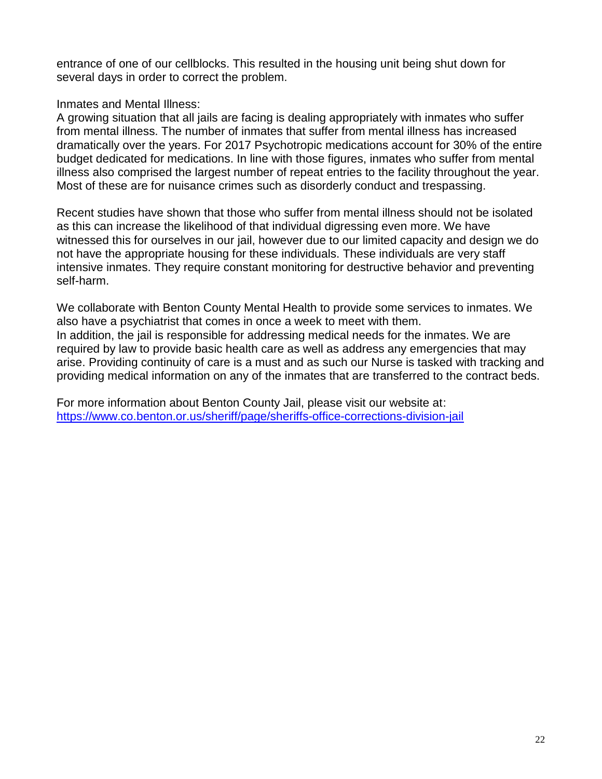entrance of one of our cellblocks. This resulted in the housing unit being shut down for several days in order to correct the problem.

#### Inmates and Mental Illness:

A growing situation that all jails are facing is dealing appropriately with inmates who suffer from mental illness. The number of inmates that suffer from mental illness has increased dramatically over the years. For 2017 Psychotropic medications account for 30% of the entire budget dedicated for medications. In line with those figures, inmates who suffer from mental illness also comprised the largest number of repeat entries to the facility throughout the year. Most of these are for nuisance crimes such as disorderly conduct and trespassing.

Recent studies have shown that those who suffer from mental illness should not be isolated as this can increase the likelihood of that individual digressing even more. We have witnessed this for ourselves in our jail, however due to our limited capacity and design we do not have the appropriate housing for these individuals. These individuals are very staff intensive inmates. They require constant monitoring for destructive behavior and preventing self-harm.

We collaborate with Benton County Mental Health to provide some services to inmates. We also have a psychiatrist that comes in once a week to meet with them. In addition, the jail is responsible for addressing medical needs for the inmates. We are required by law to provide basic health care as well as address any emergencies that may arise. Providing continuity of care is a must and as such our Nurse is tasked with tracking and providing medical information on any of the inmates that are transferred to the contract beds.

For more information about Benton County Jail, please visit our website at: <https://www.co.benton.or.us/sheriff/page/sheriffs-office-corrections-division-jail>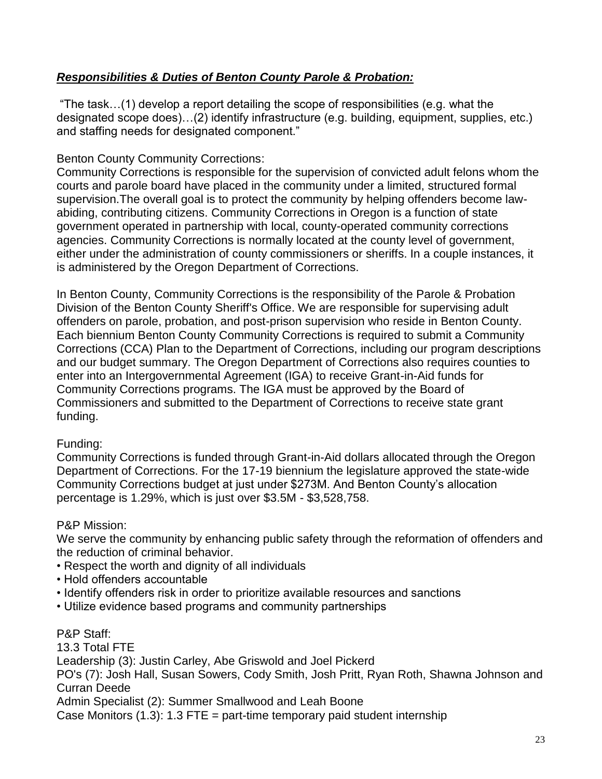# *Responsibilities & Duties of Benton County Parole & Probation:*

"The task…(1) develop a report detailing the scope of responsibilities (e.g. what the designated scope does)…(2) identify infrastructure (e.g. building, equipment, supplies, etc.) and staffing needs for designated component."

#### Benton County Community Corrections:

Community Corrections is responsible for the supervision of convicted adult felons whom the courts and parole board have placed in the community under a limited, structured formal supervision.The overall goal is to protect the community by helping offenders become lawabiding, contributing citizens. Community Corrections in Oregon is a function of state government operated in partnership with local, county-operated community corrections agencies. Community Corrections is normally located at the county level of government, either under the administration of county commissioners or sheriffs. In a couple instances, it is administered by the Oregon Department of Corrections.

In Benton County, Community Corrections is the responsibility of the Parole & Probation Division of the Benton County Sheriff's Office. We are responsible for supervising adult offenders on parole, probation, and post-prison supervision who reside in Benton County. Each biennium Benton County Community Corrections is required to submit a Community Corrections (CCA) Plan to the Department of Corrections, including our program descriptions and our budget summary. The Oregon Department of Corrections also requires counties to enter into an Intergovernmental Agreement (IGA) to receive Grant-in-Aid funds for Community Corrections programs. The IGA must be approved by the Board of Commissioners and submitted to the Department of Corrections to receive state grant funding.

### Funding:

Community Corrections is funded through Grant-in-Aid dollars allocated through the Oregon Department of Corrections. For the 17-19 biennium the legislature approved the state-wide Community Corrections budget at just under \$273M. And Benton County's allocation percentage is 1.29%, which is just over \$3.5M - \$3,528,758.

#### P&P Mission:

We serve the community by enhancing public safety through the reformation of offenders and the reduction of criminal behavior.

- Respect the worth and dignity of all individuals
- Hold offenders accountable
- Identify offenders risk in order to prioritize available resources and sanctions
- Utilize evidence based programs and community partnerships

P&P Staff: 13.3 Total FTE Leadership (3): Justin Carley, Abe Griswold and Joel Pickerd PO's (7): Josh Hall, Susan Sowers, Cody Smith, Josh Pritt, Ryan Roth, Shawna Johnson and Curran Deede Admin Specialist (2): Summer Smallwood and Leah Boone Case Monitors  $(1.3)$ : 1.3 FTE = part-time temporary paid student internship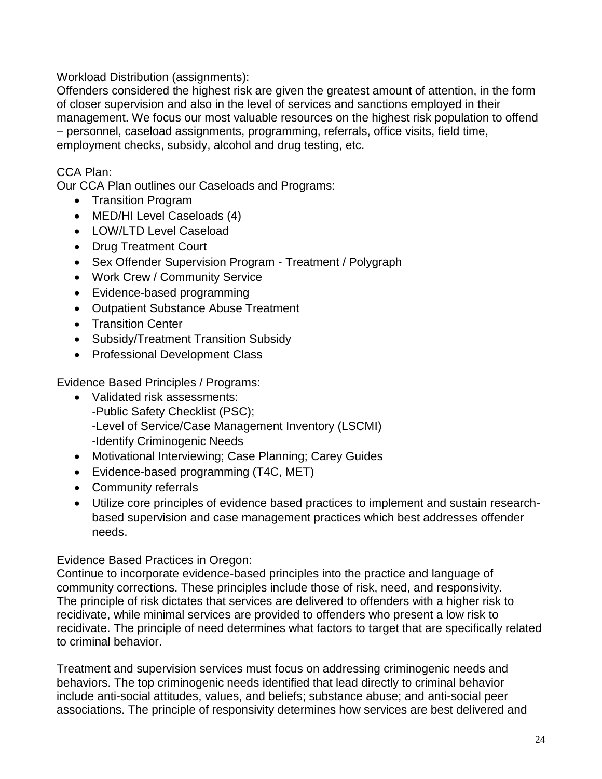Workload Distribution (assignments):

Offenders considered the highest risk are given the greatest amount of attention, in the form of closer supervision and also in the level of services and sanctions employed in their management. We focus our most valuable resources on the highest risk population to offend – personnel, caseload assignments, programming, referrals, office visits, field time, employment checks, subsidy, alcohol and drug testing, etc.

# CCA Plan:

Our CCA Plan outlines our Caseloads and Programs:

- Transition Program
- MED/HI Level Caseloads (4)
- LOW/LTD Level Caseload
- Drug Treatment Court
- Sex Offender Supervision Program Treatment / Polygraph
- Work Crew / Community Service
- Evidence-based programming
- Outpatient Substance Abuse Treatment
- Transition Center
- Subsidy/Treatment Transition Subsidy
- Professional Development Class

Evidence Based Principles / Programs:

- Validated risk assessments: -Public Safety Checklist (PSC); -Level of Service/Case Management Inventory (LSCMI) -Identify Criminogenic Needs
- Motivational Interviewing; Case Planning; Carey Guides
- Evidence-based programming (T4C, MET)
- Community referrals
- Utilize core principles of evidence based practices to implement and sustain researchbased supervision and case management practices which best addresses offender needs.

Evidence Based Practices in Oregon:

Continue to incorporate evidence-based principles into the practice and language of community corrections. These principles include those of risk, need, and responsivity. The principle of risk dictates that services are delivered to offenders with a higher risk to recidivate, while minimal services are provided to offenders who present a low risk to recidivate. The principle of need determines what factors to target that are specifically related to criminal behavior.

Treatment and supervision services must focus on addressing criminogenic needs and behaviors. The top criminogenic needs identified that lead directly to criminal behavior include anti-social attitudes, values, and beliefs; substance abuse; and anti-social peer associations. The principle of responsivity determines how services are best delivered and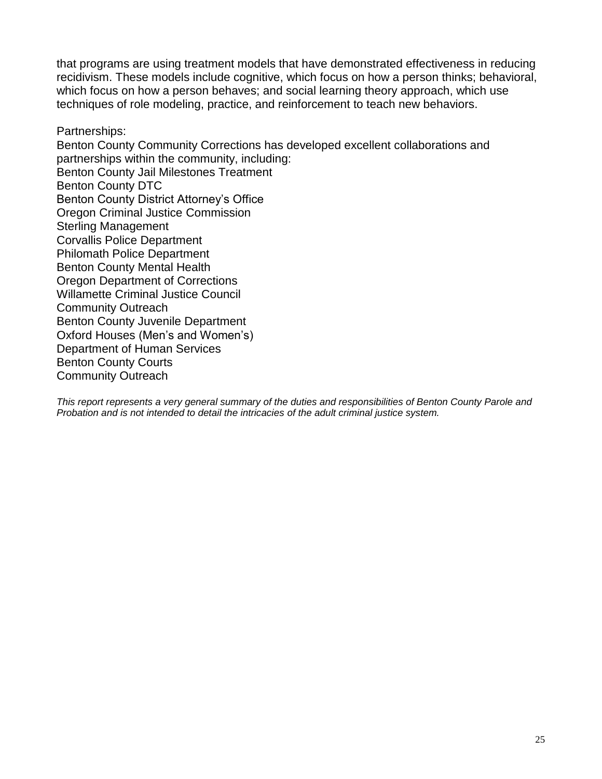that programs are using treatment models that have demonstrated effectiveness in reducing recidivism. These models include cognitive, which focus on how a person thinks; behavioral, which focus on how a person behaves; and social learning theory approach, which use techniques of role modeling, practice, and reinforcement to teach new behaviors.

Partnerships: Benton County Community Corrections has developed excellent collaborations and partnerships within the community, including: Benton County Jail Milestones Treatment Benton County DTC Benton County District Attorney's Office Oregon Criminal Justice Commission Sterling Management Corvallis Police Department Philomath Police Department Benton County Mental Health Oregon Department of Corrections Willamette Criminal Justice Council Community Outreach Benton County Juvenile Department Oxford Houses (Men's and Women's) Department of Human Services Benton County Courts Community Outreach

*This report represents a very general summary of the duties and responsibilities of Benton County Parole and Probation and is not intended to detail the intricacies of the adult criminal justice system.*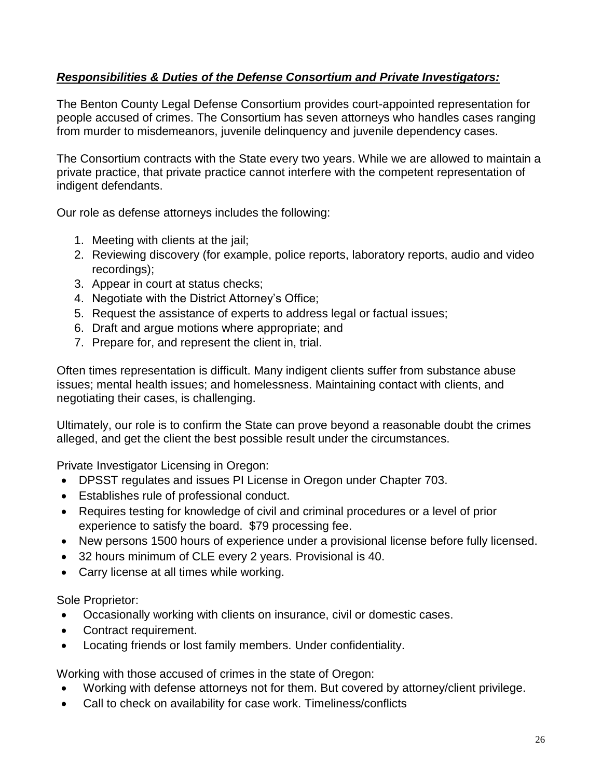# *Responsibilities & Duties of the Defense Consortium and Private Investigators:*

The Benton County Legal Defense Consortium provides court-appointed representation for people accused of crimes. The Consortium has seven attorneys who handles cases ranging from murder to misdemeanors, juvenile delinquency and juvenile dependency cases.

The Consortium contracts with the State every two years. While we are allowed to maintain a private practice, that private practice cannot interfere with the competent representation of indigent defendants.

Our role as defense attorneys includes the following:

- 1. Meeting with clients at the jail;
- 2. Reviewing discovery (for example, police reports, laboratory reports, audio and video recordings);
- 3. Appear in court at status checks;
- 4. Negotiate with the District Attorney's Office;
- 5. Request the assistance of experts to address legal or factual issues;
- 6. Draft and argue motions where appropriate; and
- 7. Prepare for, and represent the client in, trial.

Often times representation is difficult. Many indigent clients suffer from substance abuse issues; mental health issues; and homelessness. Maintaining contact with clients, and negotiating their cases, is challenging.

Ultimately, our role is to confirm the State can prove beyond a reasonable doubt the crimes alleged, and get the client the best possible result under the circumstances.

Private Investigator Licensing in Oregon:

- DPSST regulates and issues PI License in Oregon under Chapter 703.
- Establishes rule of professional conduct.
- Requires testing for knowledge of civil and criminal procedures or a level of prior experience to satisfy the board. \$79 processing fee.
- New persons 1500 hours of experience under a provisional license before fully licensed.
- 32 hours minimum of CLE every 2 years. Provisional is 40.
- Carry license at all times while working.

Sole Proprietor:

- Occasionally working with clients on insurance, civil or domestic cases.
- Contract requirement.
- Locating friends or lost family members. Under confidentiality.

Working with those accused of crimes in the state of Oregon:

- Working with defense attorneys not for them. But covered by attorney/client privilege.
- Call to check on availability for case work. Timeliness/conflicts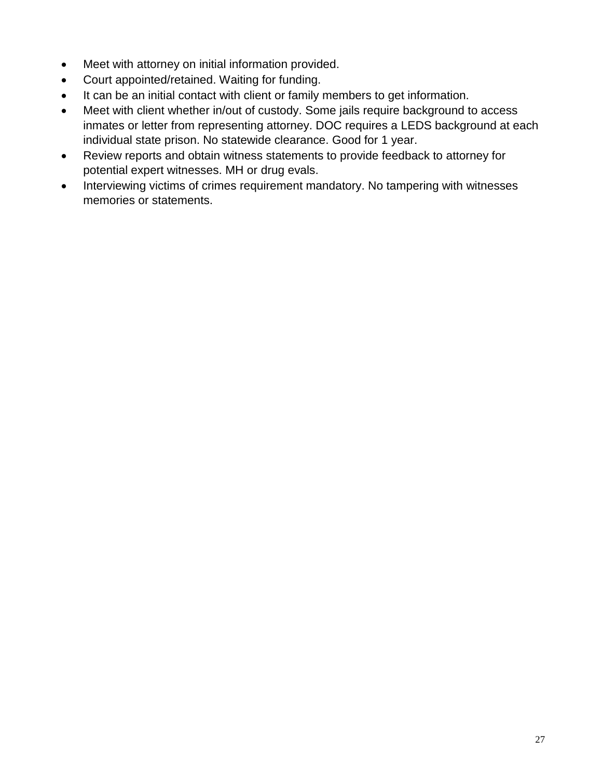- Meet with attorney on initial information provided.
- Court appointed/retained. Waiting for funding.
- It can be an initial contact with client or family members to get information.
- Meet with client whether in/out of custody. Some jails require background to access inmates or letter from representing attorney. DOC requires a LEDS background at each individual state prison. No statewide clearance. Good for 1 year.
- Review reports and obtain witness statements to provide feedback to attorney for potential expert witnesses. MH or drug evals.
- Interviewing victims of crimes requirement mandatory. No tampering with witnesses memories or statements.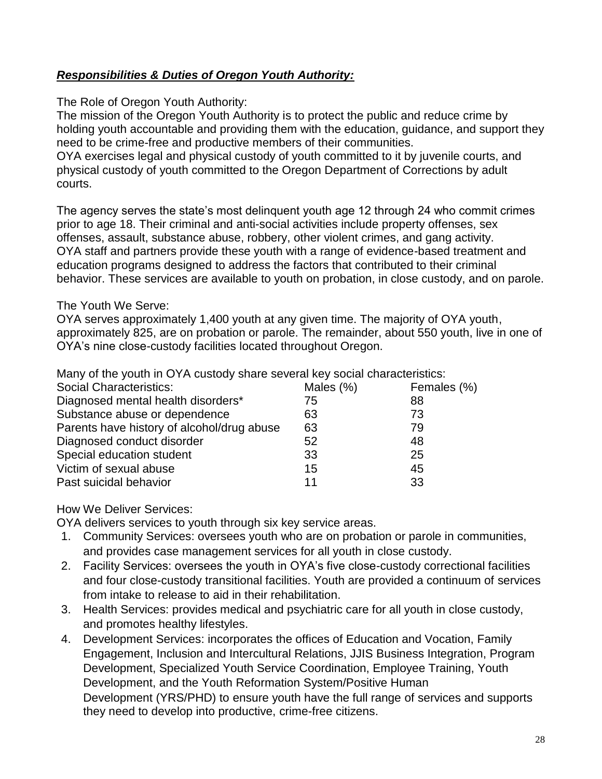# *Responsibilities & Duties of Oregon Youth Authority:*

The Role of Oregon Youth Authority:

The mission of the Oregon Youth Authority is to protect the public and reduce crime by holding youth accountable and providing them with the education, guidance, and support they need to be crime-free and productive members of their communities.

OYA exercises legal and physical custody of youth committed to it by juvenile courts, and physical custody of youth committed to the Oregon Department of Corrections by adult courts.

The agency serves the state's most delinquent youth age 12 through 24 who commit crimes prior to age 18. Their criminal and anti-social activities include property offenses, sex offenses, assault, substance abuse, robbery, other violent crimes, and gang activity. OYA staff and partners provide these youth with a range of evidence-based treatment and education programs designed to address the factors that contributed to their criminal behavior. These services are available to youth on probation, in close custody, and on parole.

#### The Youth We Serve:

OYA serves approximately 1,400 youth at any given time. The majority of OYA youth, approximately 825, are on probation or parole. The remainder, about 550 youth, live in one of OYA's nine close-custody facilities located throughout Oregon.

Many of the youth in OYA custody share several key social characteristics:

| <b>Social Characteristics:</b>             | Males (%) | Females (%) |
|--------------------------------------------|-----------|-------------|
| Diagnosed mental health disorders*         | 75        | 88          |
| Substance abuse or dependence              | 63        | 73          |
| Parents have history of alcohol/drug abuse | 63        | 79          |
| Diagnosed conduct disorder                 | 52        | 48          |
| Special education student                  | 33        | 25          |
| Victim of sexual abuse                     | 15        | 45          |
| Past suicidal behavior                     | 11        | 33          |

How We Deliver Services:

OYA delivers services to youth through six key service areas.

- 1. Community Services: oversees youth who are on probation or parole in communities, and provides case management services for all youth in close custody.
- 2. Facility Services: oversees the youth in OYA's five close-custody correctional facilities and four close-custody transitional facilities. Youth are provided a continuum of services from intake to release to aid in their rehabilitation.
- 3. Health Services: provides medical and psychiatric care for all youth in close custody, and promotes healthy lifestyles.
- 4. Development Services: incorporates the offices of Education and Vocation, Family Engagement, Inclusion and Intercultural Relations, JJIS Business Integration, Program Development, Specialized Youth Service Coordination, Employee Training, Youth Development, and the Youth Reformation System/Positive Human Development (YRS/PHD) to ensure youth have the full range of services and supports they need to develop into productive, crime-free citizens.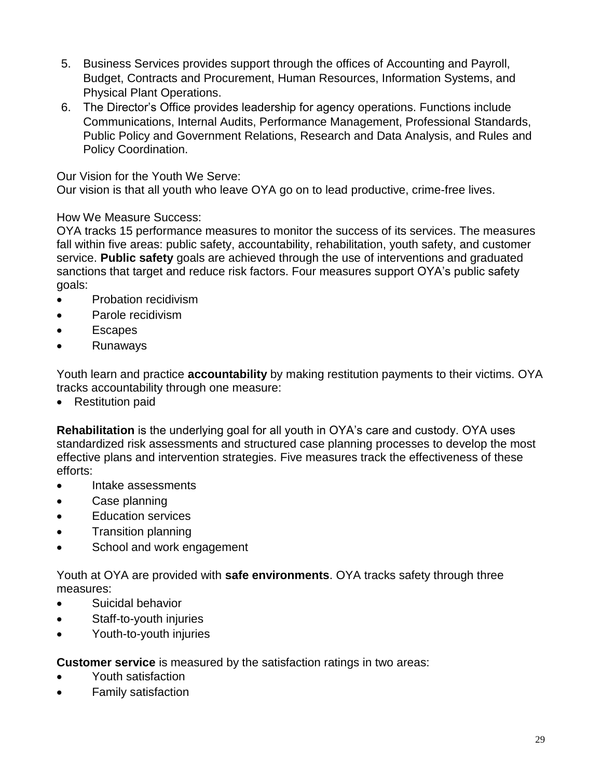- 5. Business Services provides support through the offices of Accounting and Payroll, Budget, Contracts and Procurement, Human Resources, Information Systems, and Physical Plant Operations.
- 6. The Director's Office provides leadership for agency operations. Functions include Communications, Internal Audits, Performance Management, Professional Standards, Public Policy and Government Relations, Research and Data Analysis, and Rules and Policy Coordination.

Our Vision for the Youth We Serve:

Our vision is that all youth who leave OYA go on to lead productive, crime-free lives.

### How We Measure Success:

OYA tracks 15 performance measures to monitor the success of its services. The measures fall within five areas: public safety, accountability, rehabilitation, youth safety, and customer service. **Public safety** goals are achieved through the use of interventions and graduated sanctions that target and reduce risk factors. Four measures support OYA's public safety goals:

- Probation recidivism
- Parole recidivism
- Escapes
- Runaways

Youth learn and practice **accountability** by making restitution payments to their victims. OYA tracks accountability through one measure:

• Restitution paid

**Rehabilitation** is the underlying goal for all youth in OYA's care and custody. OYA uses standardized risk assessments and structured case planning processes to develop the most effective plans and intervention strategies. Five measures track the effectiveness of these efforts:

- Intake assessments
- Case planning
- Fducation services
- Transition planning
- School and work engagement

Youth at OYA are provided with **safe environments**. OYA tracks safety through three measures:

- Suicidal behavior
- Staff-to-youth injuries
- Youth-to-youth injuries

**Customer service** is measured by the satisfaction ratings in two areas:

- Youth satisfaction
- Family satisfaction